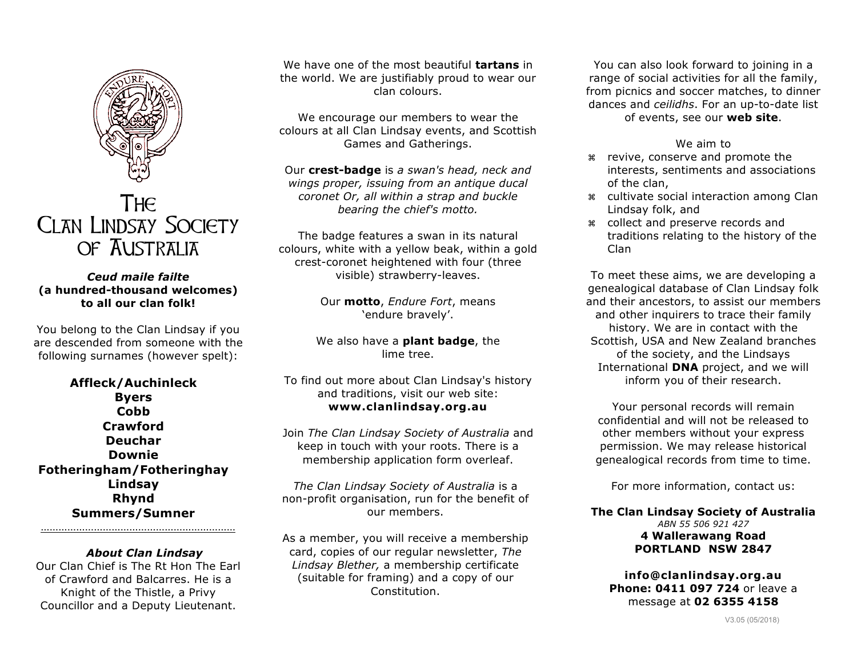

## The Clan Lindsay Society of Australia

## *Ceud maile failte*  **(a hundred-thousand welcomes) to all our clan folk!**

You belong to the Clan Lindsay if you are descended from someone with the following surnames (however spelt):

**Affleck/Auchinleck Byers Cobb Crawford Deuchar Downie Fotheringham/Fotheringhay Lindsay Rhynd Summers/Sumner**

*About Clan Lindsay* Our Clan Chief is The Rt Hon The Earl of Crawford and Balcarres. He is a Knight of the Thistle, a Privy Councillor and a Deputy Lieutenant.

…………………………………………………………

We have one of the most beautiful **tartans** in the world. We are justifiably proud to wear our clan colours.

We encourage our members to wear the colours at all Clan Lindsay events, and Scottish Games and Gatherings.

Our **crest-badge** is *a swan's head, neck and wings proper, issuing from an antique ducal coronet Or, all within a strap and buckle bearing the chief's motto.*

The badge features a swan in its natural colours, white with a yellow beak, within a gold crest-coronet heightened with four (three visible) strawberry-leaves.

> Our **motto**, *Endure Fort*, means 'endure bravely'.

We also have a **plant badge**, the lime tree.

To find out more about Clan Lindsay's history and traditions, visit our web site: **www.clanlindsay.org.au**

Join *The Clan Lindsay Society of Australia* and keep in touch with your roots. There is a membership application form overleaf.

*The Clan Lindsay Society of Australia* is a non-profit organisation, run for the benefit of our members.

As a member, you will receive a membership card, copies of our regular newsletter, *The Lindsay Blether,* a membership certificate (suitable for framing) and a copy of our Constitution.

You can also look forward to joining in a range of social activities for all the family, from picnics and soccer matches, to dinner dances and *ceilidhs*. For an up-to-date list of events, see our **web site**.

## We aim to

- z revive, conserve and promote the interests, sentiments and associations of the clan,
- z cultivate social interaction among Clan Lindsay folk, and
- z collect and preserve records and traditions relating to the history of the Clan

To meet these aims, we are developing a genealogical database of Clan Lindsay folk and their ancestors, to assist our members and other inquirers to trace their family history. We are in contact with the Scottish, USA and New Zealand branches of the society, and the Lindsays International **DNA** project, and we will inform you of their research.

Your personal records will remain confidential and will not be released to other members without your express permission. We may release historical genealogical records from time to time.

For more information, contact us:

**The Clan Lindsay Society of Australia** *ABN 55 506 921 427* **4 Wallerawang Road PORTLAND NSW 2847**

**info@clanlindsay.org.au Phone: 0411 097 724** or leave a message at **02 6355 4158**